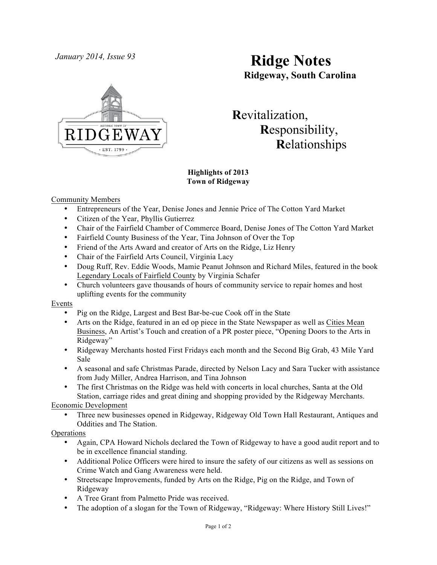

# *January 2014, Issue 93* **Ridge Notes Ridgeway, South Carolina**

 **R**evitalization,  **R**esponsibility,  **R**elationships

# **Highlights of 2013 Town of Ridgeway**

# Community Members

- Entrepreneurs of the Year, Denise Jones and Jennie Price of The Cotton Yard Market
- Citizen of the Year, Phyllis Gutierrez
- Chair of the Fairfield Chamber of Commerce Board, Denise Jones of The Cotton Yard Market
- Fairfield County Business of the Year, Tina Johnson of Over the Top
- Friend of the Arts Award and creator of Arts on the Ridge, Liz Henry
- Chair of the Fairfield Arts Council, Virginia Lacy
- Doug Ruff, Rev. Eddie Woods, Mamie Peanut Johnson and Richard Miles, featured in the book Legendary Locals of Fairfield County by Virginia Schafer
- Church volunteers gave thousands of hours of community service to repair homes and host uplifting events for the community

# Events

- Pig on the Ridge, Largest and Best Bar-be-cue Cook off in the State
- Arts on the Ridge, featured in an ed op piece in the State Newspaper as well as Cities Mean Business, An Artist's Touch and creation of a PR poster piece, "Opening Doors to the Arts in Ridgeway"
- Ridgeway Merchants hosted First Fridays each month and the Second Big Grab, 43 Mile Yard Sale
- A seasonal and safe Christmas Parade, directed by Nelson Lacy and Sara Tucker with assistance from Judy Miller, Andrea Harrison, and Tina Johnson
- The first Christmas on the Ridge was held with concerts in local churches, Santa at the Old Station, carriage rides and great dining and shopping provided by the Ridgeway Merchants.

# Economic Development

• Three new businesses opened in Ridgeway, Ridgeway Old Town Hall Restaurant, Antiques and Oddities and The Station.

# **Operations**

- Again, CPA Howard Nichols declared the Town of Ridgeway to have a good audit report and to be in excellence financial standing.
- Additional Police Officers were hired to insure the safety of our citizens as well as sessions on Crime Watch and Gang Awareness were held.
- Streetscape Improvements, funded by Arts on the Ridge, Pig on the Ridge, and Town of Ridgeway
- A Tree Grant from Palmetto Pride was received.
- The adoption of a slogan for the Town of Ridgeway, "Ridgeway: Where History Still Lives!"